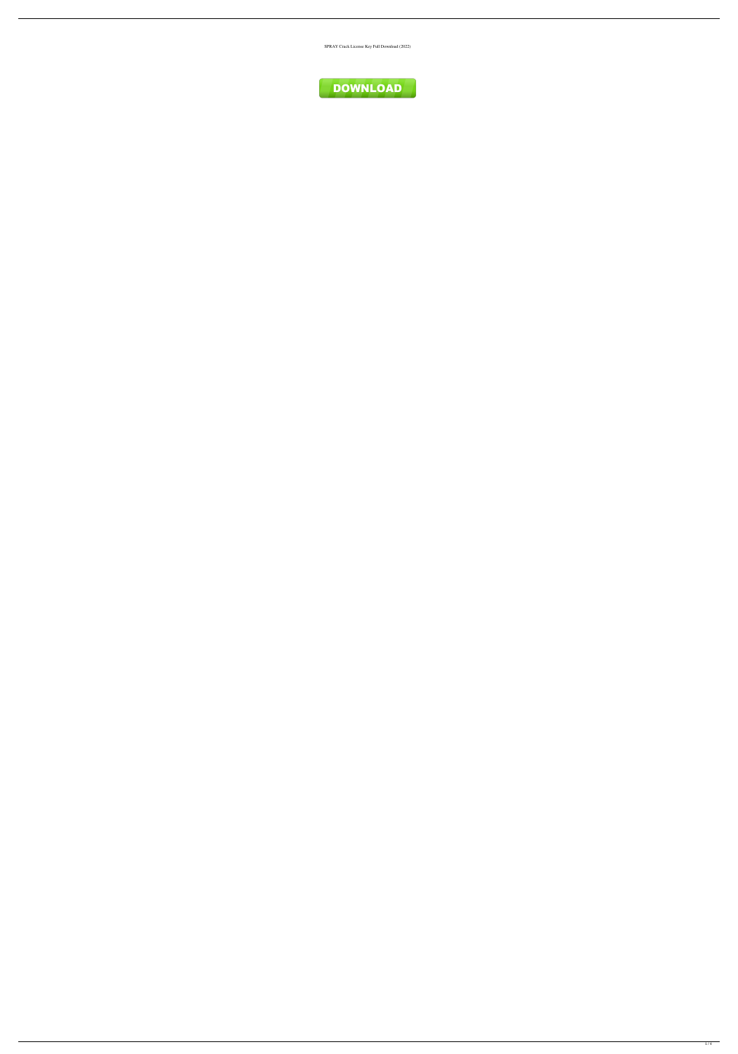SPRAY Crack License Key Full Download (2022)

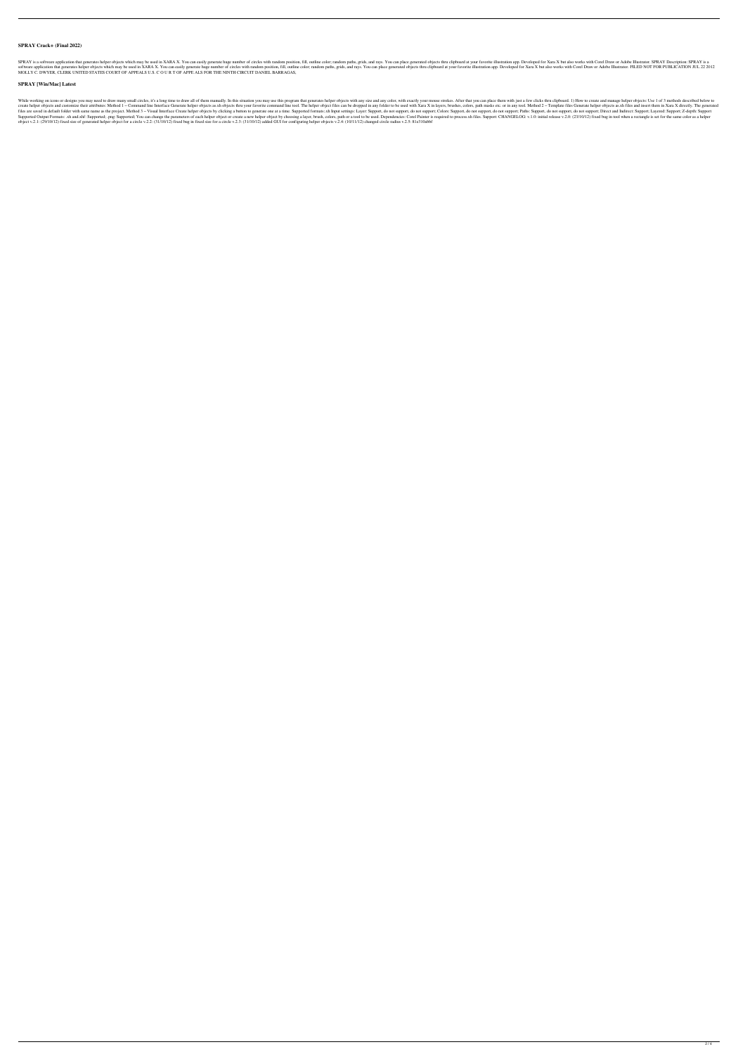## **SPRAY Crack+ (Final 2022)**

SPRAY is a software application that generates helper objects which may be used in XARA X. You can easily generate huge number of circles with random position, fill, outline color; random paths, grids, and rays. You can pl software application that generates helper objects which may be used in XARA X. You can easily generate huge number of circles with random position, fill, outline color; random paths, grids, and rays. You can place generat MOLLY C. DWYER, CLERK UNITED STATES COURT OF APPEALS U.S. C O U R T OF APPE ALS FOR THE NINTH CIRCUIT DANIEL BARRAGAS,

### **SPRAY [Win/Mac] Latest**

While working on icons or designs you may need to draw many small circles, it's a long time to draw all of them manually. In this situation you may use this program that generates helper objects. After that you can place t create helper objects and customize their attributes: Method 1 - Command line Interface Generate helper objects as.xh objects thru your favorite command line tool. The helper object files can be dropped in any folder to be files are saved in default folder with same name as the project. Method 3 - Visual Interface Create helper objects by clicking a button to generate one at a time. Support, do not support, do not support, do not support, do Supported Output Formats: .xh and.xhf: Supported; .png: Supported; You can change the parameters of each helper object or create a new helper object by choosing a layer, brush, colors, path or a tool to be used. Dependenci object v.2.1: (29/10/12) fixed size of generated helper object for a circle v.2.2: (31/10/12) fixed bug in fixed size for a circle v.2.3: (31/10/12) added GUI for configuring helper objects v.2.4: (10/11/12) changed circle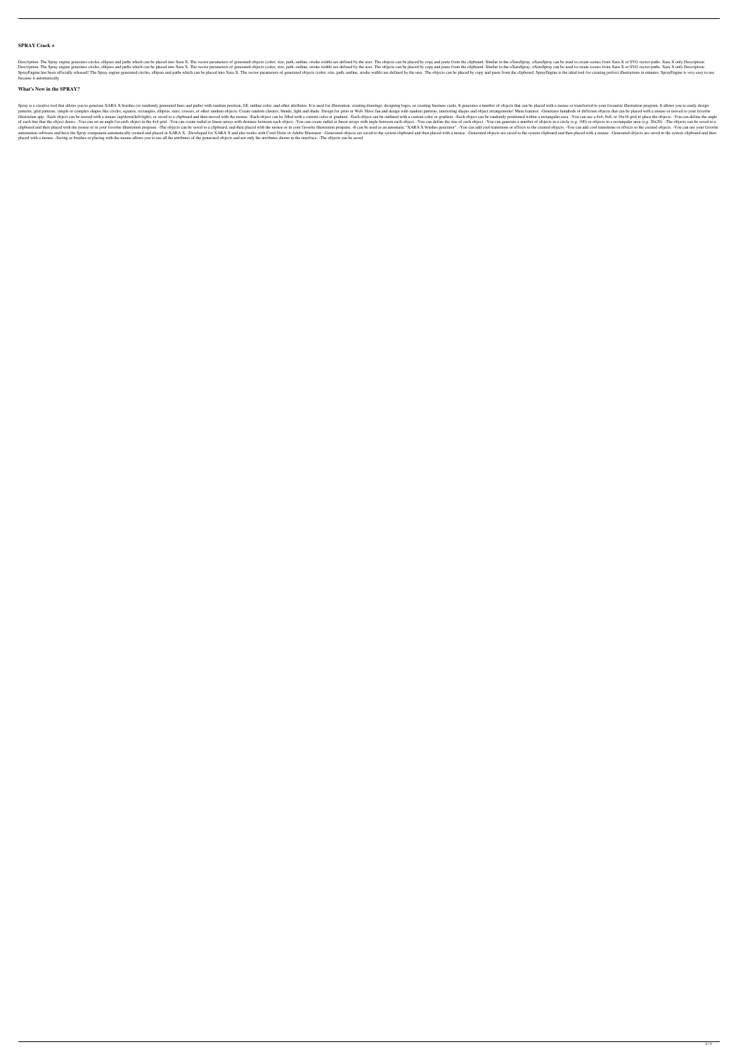### **SPRAY Crack +**

Description: The Spray engine generates circles, ellipses and paths which can be placed into Xara X. The vector parameters of generated objects (color, size, path, outline, stroke width) are defined by the user. The object Description: The Spray engine generates circles, ellipses and paths which can be placed into Xara X. The vector parameters of generated objects (color, size, path, outline, stroke width) are defined by the user. The object SprayEngine has been officially released! The Spray engine generated circles, ellipses and paths which can be placed into Xara X. The vector parameters of generated objects (color, size, path, outline, stroke width) are de because it automatically

#### **What's New in the SPRAY?**

Spray is a creative tool that allows you to generate XARA X brushes (or randomly generated lines and paths) with random position, fill, outline color, and other attributes. It is used for illustration, creating business ca patterns, grid patterns, simple or complex shapes like circles, squares, rectangles, ellipses, stars, crosses, or other random objects. Create random clusters, blends, light and shade. Design for print or Web. Have fun and illustration app. -Each object can be moved with a mouse (up/down/left/right), or saved to a clipboard and then moved with the mouse. -Each object can be filled with a custom color or gradient. -Each object can be randomly of each line that the object draws. -You can set an angle for each object in the 4x4 grid. -You can create radial or linear arrays with distance between each object. -You can define the size of each object. -You can genera clipboard and then placed with the mouse or in your favorite illustration program. -The objects can be saved to a clipboard, and then placed with the mouse or in your favorite illustration program. -It can be used as an au automation software and have the Spray component automatically created and placed in XARA X. -Developed for XARA X and also works with Corel Draw or Adobe Illustrator. -Generated objects are saved to the system clipboard a placed with a mouse. -Saving as brushes or placing with the mouse allows you to use all the attributes of the generated objects and not only the attributes shown in the interface. -The objects can be saved